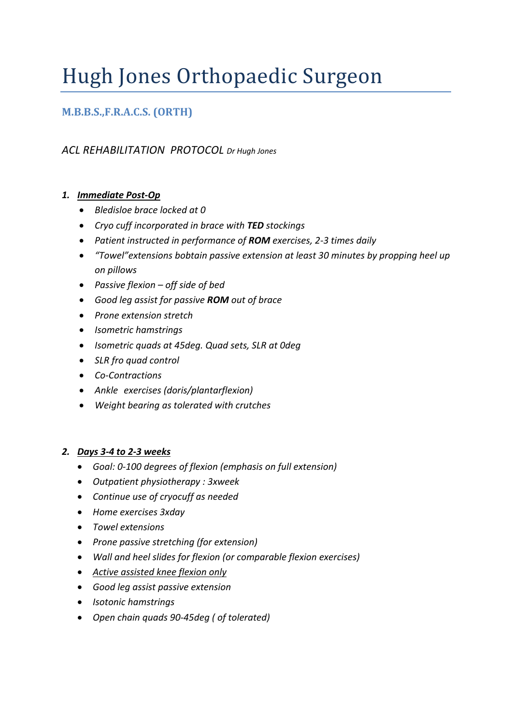# Hugh Jones Orthopaedic Surgeon

# **M.B.B.S.,F.R.A.C.S. (ORTH)**

# *ACL REHABILITATION PROTOCOL Dr Hugh Jones*

#### *1. Immediate Post-Op*

- *Bledisloe brace locked at 0*
- *Cryo cuff incorporated in brace with TED stockings*
- *Patient instructed in performance of ROM exercises, 2-3 times daily*
- *"Towel"extensions bobtain passive extension at least 30 minutes by propping heel up on pillows*
- *Passive flexion – off side of bed*
- *Good leg assist for passive ROM out of brace*
- *Prone extension stretch*
- *Isometric hamstrings*
- *Isometric quads at 45deg. Quad sets, SLR at 0deg*
- *SLR fro quad control*
- *Co-Contractions*
- *Ankle exercises (doris/plantarflexion)*
- *Weight bearing as tolerated with crutches*

#### *2. Days 3-4 to 2-3 weeks*

- *Goal: 0-100 degrees of flexion (emphasis on full extension)*
- *Outpatient physiotherapy : 3xweek*
- *Continue use of cryocuff as needed*
- *Home exercises 3xday*
- *Towel extensions*
- *Prone passive stretching (for extension)*
- *Wall and heel slides for flexion (or comparable flexion exercises)*
- *Active assisted knee flexion only*
- *Good leg assist passive extension*
- *Isotonic hamstrings*
- *Open chain quads 90-45deg ( of tolerated)*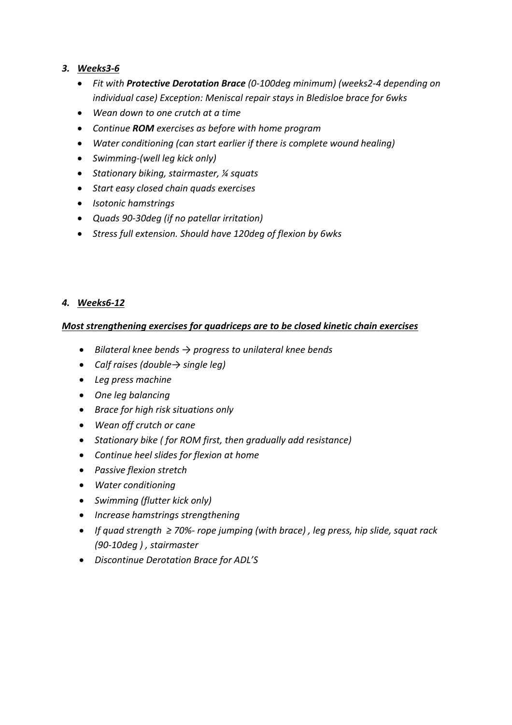### *3. Weeks3-6*

- *Fit with Protective Derotation Brace (0-100deg minimum) (weeks2-4 depending on individual case) Exception: Meniscal repair stays in Bledisloe brace for 6wks*
- *Wean down to one crutch at a time*
- *Continue ROM exercises as before with home program*
- *Water conditioning (can start earlier if there is complete wound healing)*
- *Swimming-(well leg kick only)*
- *Stationary biking, stairmaster, ¼ squats*
- *Start easy closed chain quads exercises*
- *Isotonic hamstrings*
- *Quads 90-30deg (if no patellar irritation)*
- *Stress full extension. Should have 120deg of flexion by 6wks*

# *4. Weeks6-12*

### *Most strengthening exercises for quadriceps are to be closed kinetic chain exercises*

- *Bilateral knee bends → progress to unilateral knee bends*
- *Calf raises (double→ single leg)*
- *Leg press machine*
- *One leg balancing*
- *Brace for high risk situations only*
- *Wean off crutch or cane*
- *Stationary bike ( for ROM first, then gradually add resistance)*
- *Continue heel slides for flexion at home*
- *Passive flexion stretch*
- *Water conditioning*
- *Swimming (flutter kick only)*
- *Increase hamstrings strengthening*
- *If quad strength ≥ 70%- rope jumping (with brace) , leg press, hip slide, squat rack (90-10deg ) , stairmaster*
- *Discontinue Derotation Brace for ADL'S*